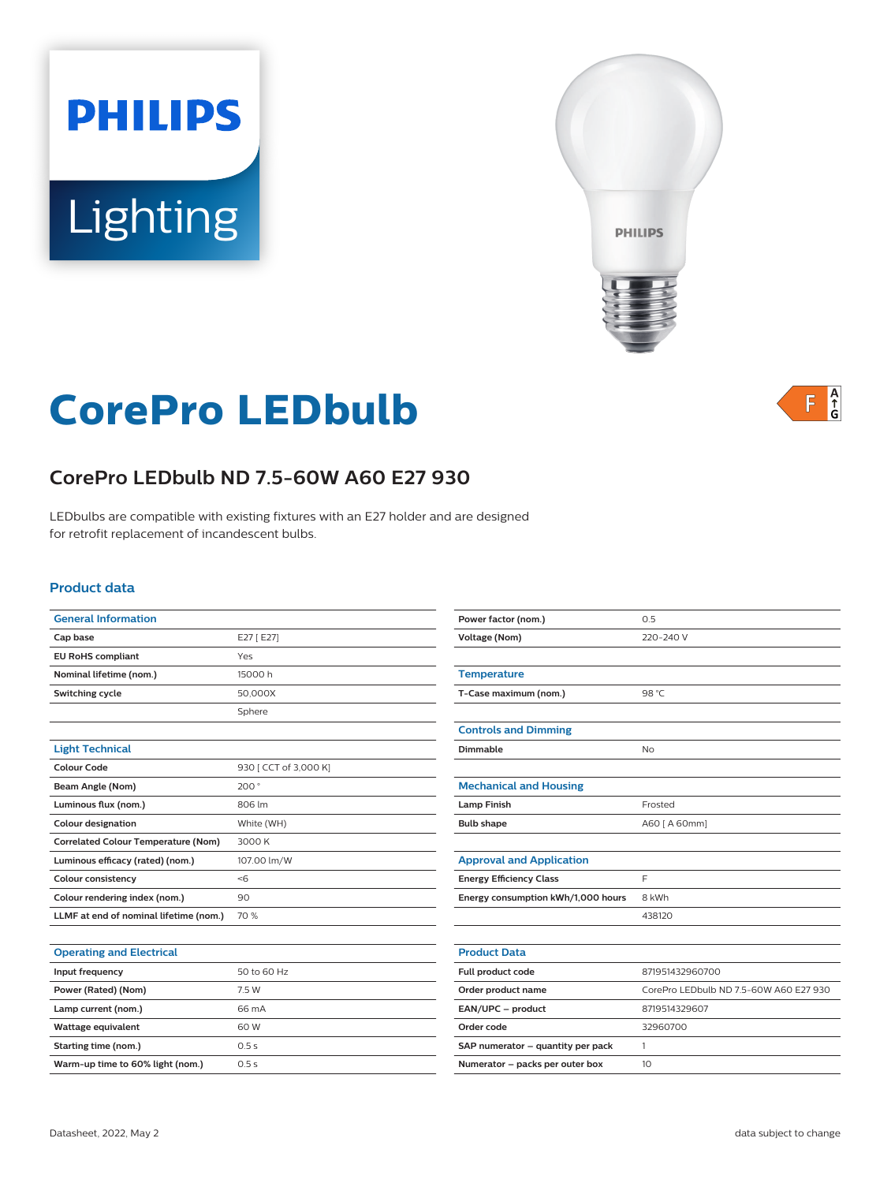# **PHILIPS Lighting**



# **CorePro LEDbulb**



# **CorePro LEDbulb ND 7.5-60W A60 E27 930**

LEDbulbs are compatible with existing fixtures with an E27 holder and are designed for retrofit replacement of incandescent bulbs.

#### **Product data**

| <b>General Information</b>                 |                       |
|--------------------------------------------|-----------------------|
| Cap base                                   | E27 [E27]             |
| <b>EU RoHS compliant</b>                   | Yes                   |
| Nominal lifetime (nom.)                    | 15000 h               |
| Switching cycle                            | 50,000X               |
|                                            | Sphere                |
|                                            |                       |
| <b>Light Technical</b>                     |                       |
| Colour Code                                | 930 [ CCT of 3,000 K] |
| Beam Angle (Nom)                           | 200°                  |
| Luminous flux (nom.)                       | 806 lm                |
| <b>Colour designation</b>                  | White (WH)            |
| <b>Correlated Colour Temperature (Nom)</b> | 3000 K                |
| Luminous efficacy (rated) (nom.)           | 107.00 lm/W           |
| <b>Colour consistency</b>                  | < 6                   |
| Colour rendering index (nom.)              | 90                    |
| LLMF at end of nominal lifetime (nom.)     | 70 %                  |
|                                            |                       |

| <b>Operating and Electrical</b>  |             |
|----------------------------------|-------------|
| Input frequency                  | 50 to 60 Hz |
| Power (Rated) (Nom)              | 7.5 W       |
| Lamp current (nom.)              | 66 mA       |
| Wattage equivalent               | 60 W        |
| Starting time (nom.)             | 0.5s        |
| Warm-up time to 60% light (nom.) | 0.5s        |

| Power factor (nom.)                | 0.5                                    |  |
|------------------------------------|----------------------------------------|--|
| <b>Voltage (Nom)</b>               | 220-240 V                              |  |
|                                    |                                        |  |
| <b>Temperature</b>                 |                                        |  |
| T-Case maximum (nom.)              | 98 °C                                  |  |
|                                    |                                        |  |
| <b>Controls and Dimming</b>        |                                        |  |
| Dimmable                           | No                                     |  |
|                                    |                                        |  |
| <b>Mechanical and Housing</b>      |                                        |  |
| <b>Lamp Finish</b>                 | Frosted                                |  |
| <b>Bulb shape</b>                  | A60 [ A 60mm]                          |  |
|                                    |                                        |  |
| <b>Approval and Application</b>    |                                        |  |
| <b>Energy Efficiency Class</b>     | F                                      |  |
| Energy consumption kWh/1,000 hours | 8 kWh                                  |  |
|                                    | 438120                                 |  |
|                                    |                                        |  |
| <b>Product Data</b>                |                                        |  |
| Full product code                  | 871951432960700                        |  |
| Order product name                 | CorePro LEDbulb ND 7.5-60W A60 E27 930 |  |
| EAN/UPC - product                  | 8719514329607                          |  |
| Order code                         | 32960700                               |  |
| SAP numerator - quantity per pack  | 1                                      |  |
| Numerator - packs per outer box    | 10                                     |  |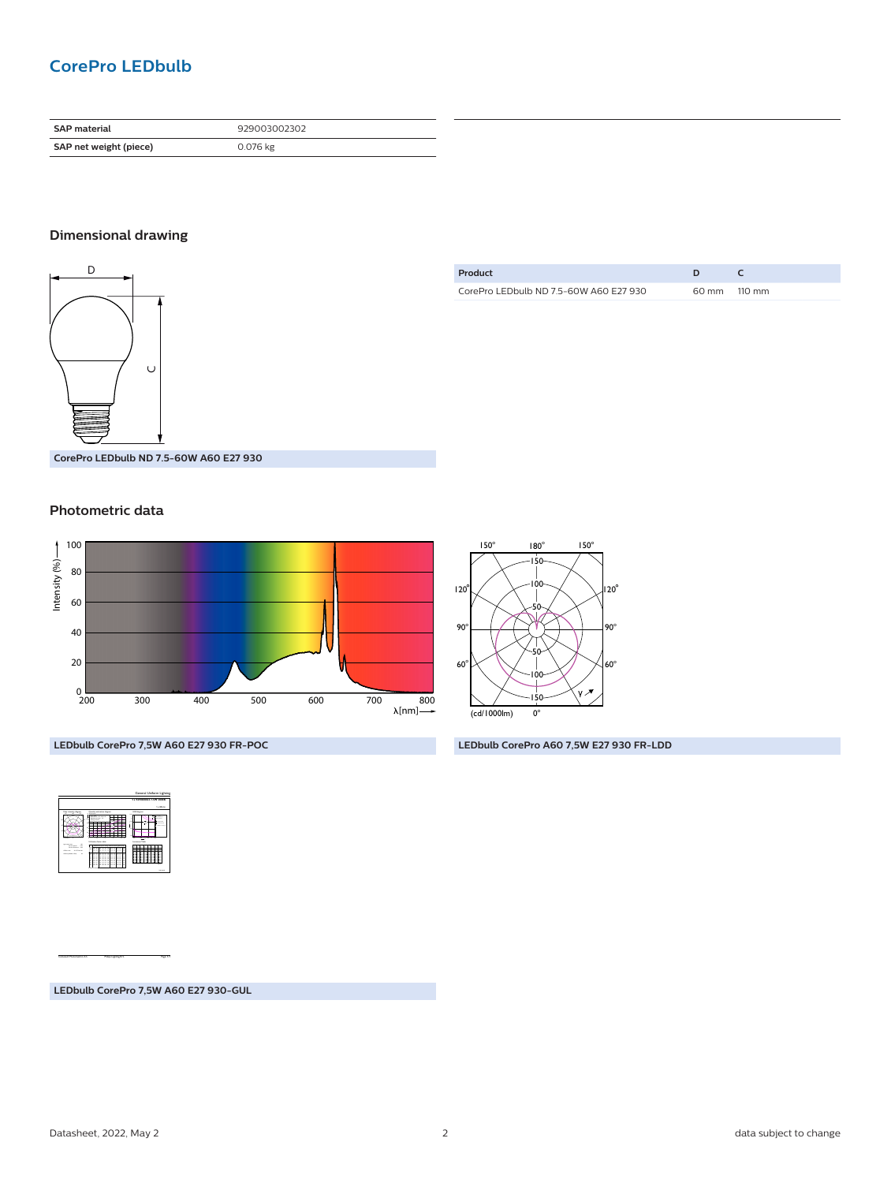# **CorePro LEDbulb**

| <b>SAP material</b>    | 929003002302 |
|------------------------|--------------|
| SAP net weight (piece) | 0.076 kg     |

#### **Dimensional drawing**



| Product                                |              |
|----------------------------------------|--------------|
| CorePro LEDbulb ND 7.5-60W A60 E27 930 | 60 mm 110 mm |

**CorePro LEDbulb ND 7.5-60W A60 E27 930**

#### **Photometric data**





**LEDbulb CorePro A60 7,5W E27 930 FR-LDD**

**LEDbulb CorePro 7,5W A60 E27 930 FR-POC**

|                                                                                                               |                                                                                                                                                                                                                                                                                                                       | General Uniform Lishting                                              |
|---------------------------------------------------------------------------------------------------------------|-----------------------------------------------------------------------------------------------------------------------------------------------------------------------------------------------------------------------------------------------------------------------------------------------------------------------|-----------------------------------------------------------------------|
|                                                                                                               |                                                                                                                                                                                                                                                                                                                       | 1 x 9290830023 7.5W 30000<br><b>La Mid-Im</b>                         |
|                                                                                                               | Questo existente duranti<br>49.64.68<br>__<br>University Service Mid-                                                                                                                                                                                                                                                 | <b>UGLAyer</b><br>--<br>$\overline{11}$<br>×<br><b>Luminers</b> Table |
| <b>STAR</b><br><b>STATISTICS</b><br>bears, 19<br><b>RANKIN</b><br><b>Children Ave.</b><br><b>Charles Card</b> | in which will not written about<br>---<br>۰<br>Ξ<br>۰<br>.<br>==<br>ΞE<br>==<br>ニニ<br>ΞE<br>: 2<br>٠<br>===<br>u<br>÷<br>÷<br>п<br>z<br>٠<br>Ξ<br>٠<br>٠<br>×.<br>à.<br>===<br>A):<br>٠<br>$\overline{\phantom{a}}$<br>٠<br>--<br>Ξ<br>۰<br>Ξ<br>--<br>Ξ<br>-<br>Ξ<br>22<br>22 3 3<br>ΞI<br>==<br>Ξ<br>==<br>Ξ<br>$-$ | 114.4                                                                 |

CalcuLuX Photometrics 4.5 Philips Lighting B.V. Page: 1/1

**LEDbulb CorePro 7,5W A60 E27 930-GUL**

Datasheet, 2022, May 2 2 data subject to change